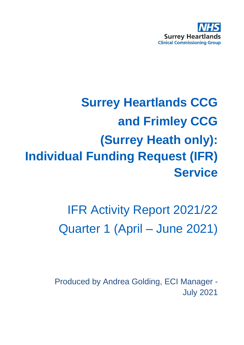

# **Surrey Heartlands CCG and Frimley CCG (Surrey Heath only): Individual Funding Request (IFR) Service**

# IFR Activity Report 2021/22 Quarter 1 (April – June 2021)

Produced by Andrea Golding, ECI Manager - July 2021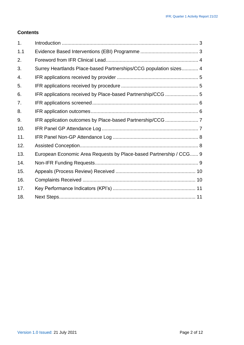#### **Contents**

| 1.  |                                                                    |  |
|-----|--------------------------------------------------------------------|--|
| 1.1 |                                                                    |  |
| 2.  |                                                                    |  |
| 3.  | Surrey Heartlands Place-based Partnerships/CCG population sizes 4  |  |
| 4.  |                                                                    |  |
| 5.  |                                                                    |  |
| 6.  |                                                                    |  |
| 7.  |                                                                    |  |
| 8.  |                                                                    |  |
| 9.  |                                                                    |  |
| 10. |                                                                    |  |
| 11. |                                                                    |  |
| 12. |                                                                    |  |
| 13. | European Economic Area Requests by Place-based Partnership / CCG 9 |  |
| 14. |                                                                    |  |
| 15. |                                                                    |  |
| 16. |                                                                    |  |
| 17. |                                                                    |  |
| 18. |                                                                    |  |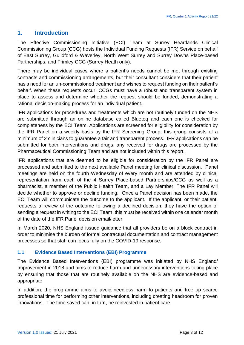#### <span id="page-2-0"></span>**1. Introduction**

The Effective Commissioning Initiative (ECI) Team at Surrey Heartlands Clinical Commissioning Group (CCG) hosts the Individual Funding Requests (IFR) Service on behalf of East Surrey, Guildford & Waverley, North West Surrey and Surrey Downs Place-based Partnerships, and Frimley CCG (Surrey Heath only).

There may be individual cases where a patient's needs cannot be met through existing contracts and commissioning arrangements, but their consultant considers that their patient has a need for an un-commissioned treatment and wishes to request funding on their patient's behalf. When these requests occur, CCGs must have a robust and transparent system in place to assess and determine whether the request should be funded, demonstrating a rational decision-making process for an individual patient.

IFR applications for procedures and treatments which are not routinely funded on the NHS are submitted through an online database called Blueteq and each one is checked for completeness by the ECI Team. Applications are screened for eligibility for consideration by the IFR Panel on a weekly basis by the IFR Screening Group; this group consists of a minimum of 2 clinicians to guarantee a fair and transparent process. IFR applications can be submitted for both interventions and drugs; any received for drugs are processed by the Pharmaceutical Commissioning Team and are not included within this report.

IFR applications that are deemed to be eligible for consideration by the IFR Panel are processed and submitted to the next available Panel meeting for clinical discussion. Panel meetings are held on the fourth Wednesday of every month and are attended by clinical representation from each of the 4 Surrey Place-based Partnerships/CCG as well as a pharmacist, a member of the Public Health Team, and a Lay Member. The IFR Panel will decide whether to approve or decline funding. Once a Panel decision has been made, the ECI Team will communicate the outcome to the applicant. If the applicant, or their patient, requests a review of the outcome following a declined decision, they have the option of sending a request in writing to the ECI Team; this must be received within one calendar month of the date of the IFR Panel decision email/letter.

In March 2020, NHS England issued guidance that all providers be on a block contract in order to minimise the burden of formal contractual documentation and contract management processes so that staff can focus fully on the COVID-19 response.

#### <span id="page-2-1"></span>**1.1 Evidence Based Interventions (EBI) Programme**

The Evidence Based Interventions (EBI) programme was initiated by NHS England/ Improvement in 2018 and aims to reduce harm and unnecessary interventions taking place by ensuring that those that are routinely available on the NHS are evidence-based and appropriate.

In addition, the programme aims to avoid needless harm to patients and free up scarce professional time for performing other interventions, including creating headroom for proven innovations. The time saved can, in turn, be reinvested in patient care.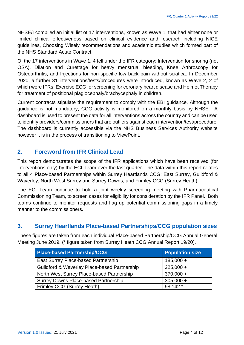NHSE/I compiled an initial list of 17 interventions, known as Wave 1, that had either none or limited clinical effectiveness based on clinical evidence and research including NICE guidelines, Choosing Wisely recommendations and academic studies which formed part of the NHS Standard Acute Contract.

Of the 17 interventions in Wave 1, 4 fell under the IFR category: Intervention for snoring (not OSA), Dilation and Curettage for heavy menstrual bleeding, Knee Arthroscopy for Osteoarthritis, and Injections for non-specific low back pain without sciatica. In December 2020, a further 31 interventions/tests/procedures were introduced, known as Wave 2, 2 of which were IFRs: Exercise ECG for screening for coronary heart disease and Helmet Therapy for treatment of positional plagiocephaly/brachycephaly in children.

Current contracts stipulate the requirement to comply with the EBI guidance. Although the guidance is not mandatory, CCG activity is monitored on a monthly basis by NHSE. A dashboard is used to present the data for all interventions across the country and can be used to identify providers/commissioners that are outliers against each intervention/test/procedure. The dashboard is currently accessible via the NHS Business Services Authority website however it is in the process of transitioning to ViewPoint.

#### <span id="page-3-0"></span>**2. Foreword from IFR Clinical Lead**

This report demonstrates the scope of the IFR applications which have been received (for interventions only) by the ECI Team over the last quarter. The data within this report relates to all 4 Place-based Partnerships within Surrey Heartlands CCG: East Surrey, Guildford & Waverley, North West Surrey and Surrey Downs, and Frimley CCG (Surrey Heath).

The ECI Team continue to hold a joint weekly screening meeting with Pharmaceutical Commissioning Team, to screen cases for eligibility for consideration by the IFR Panel. Both teams continue to monitor requests and flag up potential commissioning gaps in a timely manner to the commissioners.

#### <span id="page-3-1"></span>**3. Surrey Heartlands PIace-based Partnerships/CCG population sizes**

These figures are taken from each individual Place-based Partnership/CCG Annual General Meeting June 2019. (\* figure taken from Surrey Heath CCG Annual Report 19/20).

| <b>Place-based Partnership/CCG</b>           | <b>Population size</b> |
|----------------------------------------------|------------------------|
| East Surrey Place-based Partnership          | $185,000 +$            |
| Guildford & Waverley Place-based Partnership | $225,000 +$            |
| North West Surrey Place-based Partnership    | $370,000 +$            |
| <b>Surrey Downs Place-based Partnership</b>  | $305,000 +$            |
| Frimley CCG (Surrey Heath)                   | 98,142 *               |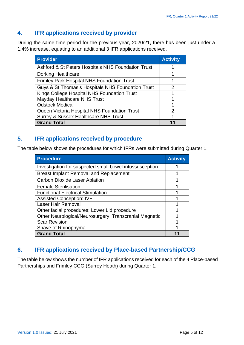#### <span id="page-4-0"></span>**4. IFR applications received by provider**

During the same time period for the previous year, 2020/21, there has been just under a 1.4% increase, equating to an additional 3 IFR applications received.

| <b>Provider</b>                                    | <b>Activity</b> |
|----------------------------------------------------|-----------------|
| Ashford & St Peters Hospitals NHS Foundation Trust |                 |
| <b>Dorking Healthcare</b>                          |                 |
| <b>Frimley Park Hospital NHS Foundation Trust</b>  |                 |
| Guys & St Thomas's Hospitals NHS Foundation Trust  | 2               |
| Kings College Hospital NHS Foundation Trust        |                 |
| Mayday Healthcare NHS Trust                        |                 |
| <b>Odstock Medical</b>                             |                 |
| Queen Victoria Hospital NHS Foundation Trust       | 2               |
| <b>Surrey &amp; Sussex Healthcare NHS Trust</b>    |                 |
| <b>Grand Total</b>                                 |                 |

#### <span id="page-4-1"></span>**5. IFR applications received by procedure**

The table below shows the procedures for which IFRs were submitted during Quarter 1.

| <b>Procedure</b>                                        | <b>Activity</b> |
|---------------------------------------------------------|-----------------|
| Investigation for suspected small bowel intussusception |                 |
| <b>Breast Implant Removal and Replacement</b>           | 1               |
| <b>Carbon Dioxide Laser Ablation</b>                    |                 |
| <b>Female Sterilisation</b>                             |                 |
| <b>Functional Electrical Stimulation</b>                |                 |
| <b>Assisted Conception: IVF</b>                         |                 |
| <b>Laser Hair Removal</b>                               |                 |
| Other facial procedures; Lower Lid procedure            |                 |
| Other Neurological/Neurosurgery; Transcranial Magnetic  |                 |
| <b>Scar Revision</b>                                    |                 |
| Shave of Rhinophyma                                     |                 |
| <b>Grand Total</b>                                      |                 |

#### <span id="page-4-2"></span>**6. IFR applications received by Place-based Partnership/CCG**

The table below shows the number of IFR applications received for each of the 4 Place-based Partnerships and Frimley CCG (Surrey Heath) during Quarter 1.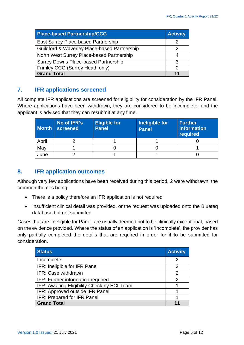| <b>Place-based Partnership/CCG</b>           | <b>Activity</b>   |  |
|----------------------------------------------|-------------------|--|
| East Surrey Place-based Partnership          |                   |  |
| Guildford & Waverley Place-based Partnership |                   |  |
| North West Surrey Place-based Partnership    |                   |  |
| <b>Surrey Downs Place-based Partnership</b>  |                   |  |
| Frimley CCG (Surrey Heath only)              | $\mathbf{\Omega}$ |  |
| <b>Grand Total</b>                           |                   |  |

#### <span id="page-5-0"></span>**7. IFR applications screened**

All complete IFR applications are screened for eligibility for consideration by the IFR Panel. Where applications have been withdrawn, they are considered to be incomplete, and the applicant is advised that they can resubmit at any time.

| <b>Month</b> | No of IFR's<br>screened | <b>Eligible for</b><br><b>Panel</b> | Ineligible for<br><b>Panel</b> | <b>Further</b><br>information<br>required |
|--------------|-------------------------|-------------------------------------|--------------------------------|-------------------------------------------|
| April        |                         |                                     |                                |                                           |
| May          |                         |                                     |                                |                                           |
| June         |                         |                                     |                                |                                           |

### <span id="page-5-1"></span>**8. IFR application outcomes**

Although very few applications have been received during this period, 2 were withdrawn; the common themes being:

- There is a policy therefore an IFR application is not required
- Insufficient clinical detail was provided, or the request was uploaded onto the Blueteq database but not submitted

Cases that are 'Ineligible for Panel' are usually deemed not to be clinically exceptional, based on the evidence provided. Where the status of an application is 'Incomplete', the provider has only partially completed the details that are required in order for it to be submitted for consideration.

| <b>Status</b>                               | <b>Activity</b> |
|---------------------------------------------|-----------------|
| Incomplete                                  | 2               |
| IFR: Ineligible for IFR Panel               | 2               |
| IFR: Case withdrawn                         |                 |
| IFR: Further information required           | 2               |
| IFR: Awaiting Eligibility Check by ECI Team |                 |
| IFR: Approved outside IFR Panel             |                 |
| IFR: Prepared for IFR Panel                 |                 |
| <b>Grand Total</b>                          |                 |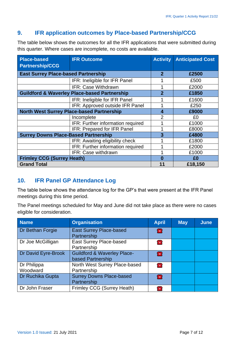#### <span id="page-6-0"></span>**9. IFR application outcomes by Place-based Partnership/CCG**

The table below shows the outcomes for all the IFR applications that were submitted during this quarter. Where cases are incomplete, no costs are available.

| <b>Place-based</b><br><b>Partnership/CCG</b>     | <b>IFR Outcome</b>                                      |                | <b>Anticipated Cost</b> |
|--------------------------------------------------|---------------------------------------------------------|----------------|-------------------------|
|                                                  |                                                         |                |                         |
| <b>East Surrey Place-based Partnership</b>       |                                                         | $\mathbf{2}$   | £2500                   |
|                                                  | IFR: Ineligible for IFR Panel                           |                | £500                    |
|                                                  | IFR: Case Withdrawn                                     |                | £2000                   |
|                                                  | <b>Guildford &amp; Waverley Place-based Partnership</b> | $\overline{2}$ | £1850                   |
|                                                  | IFR: Ineligible for IFR Panel                           |                | £1600                   |
|                                                  | IFR: Approved outside IFR Panel                         |                | £250                    |
| <b>North West Surrey Place-based Partnership</b> | 4                                                       | £9000          |                         |
|                                                  | Incomplete                                              | $\overline{2}$ | £0                      |
|                                                  | IFR: Further information required                       |                | £1000                   |
|                                                  | IFR: Prepared for IFR Panel                             |                | £8000                   |
| <b>Surrey Downs Place-Based Partnership</b>      |                                                         | 3              | £4800                   |
|                                                  | IFR: Awaiting eligibility check                         |                | £1800                   |
|                                                  | IFR: Further information required                       |                | £2000                   |
|                                                  | IFR: Case withdrawn                                     |                | £1000                   |
| <b>Frimley CCG (Surrey Heath)</b>                |                                                         | Ω              | £0                      |
| <b>Grand Total</b>                               |                                                         | £18,150        |                         |

#### <span id="page-6-1"></span>**10. IFR Panel GP Attendance Log**

The table below shows the attendance log for the GP's that were present at the IFR Panel meetings during this time period.

The Panel meetings scheduled for May and June did not take place as there were no cases eligible for consideration.

| <b>Name</b>             | <b>Organisation</b>                                         |                | <b>May</b> | <b>June</b> |
|-------------------------|-------------------------------------------------------------|----------------|------------|-------------|
| Dr Bethan Forgie        | <b>East Surrey Place-based</b><br>Partnership               | æ              |            |             |
| Dr Joe McGilligan       | <b>East Surrey Place-based</b><br>Partnership               | <b>THE</b>     |            |             |
| Dr David Eyre-Brook     | <b>Guildford &amp; Waverley Place-</b><br>based Partnership | 全              |            |             |
| Dr Philippa<br>Woodward | North West Surrey Place-based<br>Partnership                | <b>THE</b>     |            |             |
| Dr Ruchika Gupta        | <b>Surrey Downs Place-based</b><br>Partnership              | 全              |            |             |
| Dr John Fraser          | Frimley CCG (Surrey Heath)                                  | $\blacksquare$ |            |             |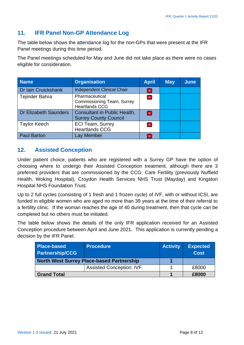#### <span id="page-7-0"></span>**11. IFR Panel Non-GP Attendance Log**

The table below shows the attendance log for the non-GPs that were present at the IFR Panel meetings during this time period.

The Panel meetings scheduled for May and June did not take place as there were no cases eligible for consideration.

| <b>Name</b>           | <b>Organisation</b>                                                          |            | <b>May</b> | <b>June</b> |
|-----------------------|------------------------------------------------------------------------------|------------|------------|-------------|
| Dr Iain Cruickshank   | <b>Independent Clinical Chair</b>                                            | Æ.         |            |             |
| Tejinder Bahra        | Pharmaceutical<br><b>Commissioning Team, Surrey</b><br><b>Heartlands CCG</b> | <b>THE</b> |            |             |
| Dr Elizabeth Saunders | Consultant in Public Health,<br><b>Surrey County Council</b>                 | 雷          |            |             |
| <b>Taylor Keech</b>   | <b>ECI Team, Surrey</b><br><b>Heartlands CCG</b>                             | <b>THE</b> |            |             |
| <b>Paul Barton</b>    | Lay Member                                                                   |            |            |             |

#### <span id="page-7-1"></span>**12. Assisted Conception**

Under patient choice, patients who are registered with a Surrey GP have the option of choosing where to undergo their Assisted Conception treatment, although there are 3 preferred providers that are commissioned by the CCG: Care Fertility (previously Nuffield Health, Woking Hospital), Croydon Health Services NHS Trust (Mayday) and Kingston Hospital NHS Foundation Trust.

Up to 2 full cycles (consisting of 1 fresh and 1 frozen cycle) of IVF, with or without ICSI, are funded in eligible women who are aged no more than 39 years at the time of their referral to a fertility clinic. If the woman reaches the age of 40 during treatment, then that cycle can be completed but no others must be initiated.

The table below shows the details of the only IFR application received for an Assisted Conception procedure between April and June 2021. This application is currently pending a decision by the IFR Panel.

| <b>Place-based</b><br><b>Partnership/CCG</b>     | <b>Procedure</b>                | <b>Activity</b> | <b>Expected</b><br><b>Cost</b> |
|--------------------------------------------------|---------------------------------|-----------------|--------------------------------|
| <b>North West Surrey Place-based Partnership</b> |                                 |                 |                                |
|                                                  | <b>Assisted Conception: IVF</b> |                 | £8000                          |
| <b>Grand Total</b>                               |                                 | £8000           |                                |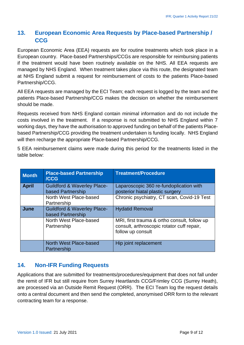# <span id="page-8-0"></span>**13. European Economic Area Requests by Place-based Partnership / CCG**

European Economic Area (EEA) requests are for routine treatments which took place in a European country. Place-based Partnerships/CCGs are responsible for reimbursing patients if the treatment would have been routinely available on the NHS. All EEA requests are managed by NHS England. When treatment takes place via this route, the designated team at NHS England submit a request for reimbursement of costs to the patients Place-based Partnership/CCG.

All EEA requests are managed by the ECI Team; each request is logged by the team and the patients Place-based Partnership/CCG makes the decision on whether the reimbursement should be made.

Requests received from NHS England contain minimal information and do not include the costs involved in the treatment. If a response is not submitted to NHS England within 7 working days, they have the authorisation to approved funding on behalf of the patients Placebased Partnership/CCG providing the treatment undertaken is funding locally. NHS England will then recharge the appropriate Place-based Partnership/CCG.

5 EEA reimbursement claims were made during this period for the treatments listed in the table below:

| <b>Month</b> | <b>Place-based Partnership</b><br>/CCG                      | <b>Treatment/Procedure</b>                                                                                      |
|--------------|-------------------------------------------------------------|-----------------------------------------------------------------------------------------------------------------|
| <b>April</b> | <b>Guildford &amp; Waverley Place-</b><br>based Partnership | Laparoscopic 360 re-fundoplication with<br>posterior hiatal plastic surgery                                     |
|              | North West Place-based<br>Partnership                       | Chronic psychiatry, CT scan, Covid-19 Test                                                                      |
| June         | <b>Guildford &amp; Waverley Place-</b><br>based Partnership | <b>Hydatid Removal</b>                                                                                          |
|              | North West Place-based<br>Partnership                       | MRI, first trauma & ortho consult, follow up<br>consult, arthroscopic rotator cuff repair,<br>follow up consult |
|              | North West Place-based<br>Partnership                       | Hip joint replacement                                                                                           |

## <span id="page-8-1"></span>**14. Non-IFR Funding Requests**

Applications that are submitted for treatments/procedures/equipment that does not fall under the remit of IFR but still require from Surrey Heartlands CCG/Frimley CCG (Surrey Heath), are processed via an Outside Remit Request (ORR). The ECI Team log the request details onto a central document and then send the completed, anonymised ORR form to the relevant contracting team for a response.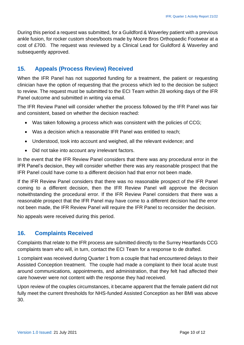During this period a request was submitted, for a Guildford & Waverley patient with a previous ankle fusion, for rocker custom shoes/boots made by Moore Bros Orthopaedic Footwear at a cost of £700. The request was reviewed by a Clinical Lead for Guildford & Waverley and subsequently approved.

#### <span id="page-9-0"></span>**15. Appeals (Process Review) Received**

When the IFR Panel has not supported funding for a treatment, the patient or requesting clinician have the option of requesting that the process which led to the decision be subject to review. The request must be submitted to the ECI Team within 28 working days of the IFR Panel outcome and submitted in writing via email.

The IFR Review Panel will consider whether the process followed by the IFR Panel was fair and consistent, based on whether the decision reached:

- Was taken following a process which was consistent with the policies of CCG;
- Was a decision which a reasonable IFR Panel was entitled to reach;
- Understood, took into account and weighed, all the relevant evidence; and
- Did not take into account any irrelevant factors.

In the event that the IFR Review Panel considers that there was any procedural error in the IFR Panel's decision, they will consider whether there was any reasonable prospect that the IFR Panel could have come to a different decision had that error not been made.

If the IFR Review Panel considers that there was no reasonable prospect of the IFR Panel coming to a different decision, then the IFR Review Panel will approve the decision notwithstanding the procedural error. If the IFR Review Panel considers that there was a reasonable prospect that the IFR Panel may have come to a different decision had the error not been made, the IFR Review Panel will require the IFR Panel to reconsider the decision.

No appeals were received during this period.

#### <span id="page-9-1"></span>**16. Complaints Received**

Complaints that relate to the IFR process are submitted directly to the Surrey Heartlands CCG complaints team who will, in turn, contact the ECI Team for a response to de drafted.

1 complaint was received during Quarter 1 from a couple that had encountered delays to their Assisted Conception treatment. The couple had made a complaint to their local acute trust around communications, appointments, and administration, that they felt had affected their care however were not content with the response they had received.

Upon review of the couples circumstances, it became apparent that the female patient did not fully meet the current thresholds for NHS-funded Assisted Conception as her BMI was above 30.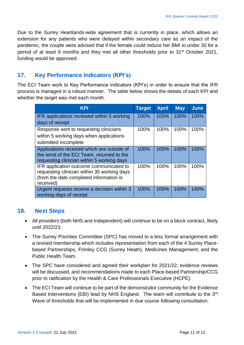Due to the Surrey Heartlands-wide agreement that is currently in place, which allows an extension for any patients who were delayed within secondary care as an impact of the pandemic, the couple were advised that if the female could reduce her BMI to under 30 for a period of at least 6 months and they met all other thresholds prior to 31<sup>st</sup> October 2021, funding would be approved.

# <span id="page-10-0"></span>**17. Key Performance Indicators (KPI's)**

The ECI Team work to Key Performance Indicators (KPI's) in order to ensure that the IFR process is managed in a robust manner. The table below shows the details of each KPI and whether the target was met each month.

| <b>KPI</b>                                                                             | <b>Target</b> | <b>April</b> | <b>May</b> | <b>June</b> |
|----------------------------------------------------------------------------------------|---------------|--------------|------------|-------------|
| IFR applications reviewed within 5 working                                             | 100%          | 100%         | 100%       | 100%        |
| days of receipt                                                                        |               |              |            |             |
| Response sent to requesting clinicians                                                 | 100%          | 100%         | 100%       | 100%        |
| within 5 working days when applications                                                |               |              |            |             |
| submitted incomplete                                                                   |               |              |            |             |
| Applications received which are outside of                                             | 100%          | 100%         | 100%       | 100%        |
| the remit of the ECI Team, returned to the                                             |               |              |            |             |
| requesting clinician within 5 working days                                             |               |              |            |             |
| IFR application outcome communicated to                                                | 100%          | 100%         | 100%       | 100%        |
| requesting clinician within 35 working days<br>(from the date completed information is |               |              |            |             |
| received)                                                                              |               |              |            |             |
| Urgent requests receive a decision within 3                                            | 100%          | 100%         | 100%       | 100%        |
| working days of receipt                                                                |               |              |            |             |
|                                                                                        |               |              |            |             |

#### <span id="page-10-1"></span>**18. Next Steps**

- All providers (both NHS and Independent) will continue to be on a block contract, likely until 2022/23.
- The Surrey Priorities Committee (SPC) has moved to a less formal arrangement with a revised membership which includes representation from each of the 4 Surrey Placebased Partnerships, Frimley CCG (Surrey Heath), Medicines Management, and the Public Health Team.
- The SPC have considered and agreed their workplan for 2021/22; evidence reviews will be discussed, and recommendations made to each Place-based Partnership/CCG prior to ratification by the Health & Care Professionals Executive (HCPE).
- The ECI Team will continue to be part of the demonstrator community for the Evidence Based Interventions (EBI) lead by NHS England. The team will contribute to the 3<sup>rd</sup> Wave of thresholds that will be implemented in due course following consultation.